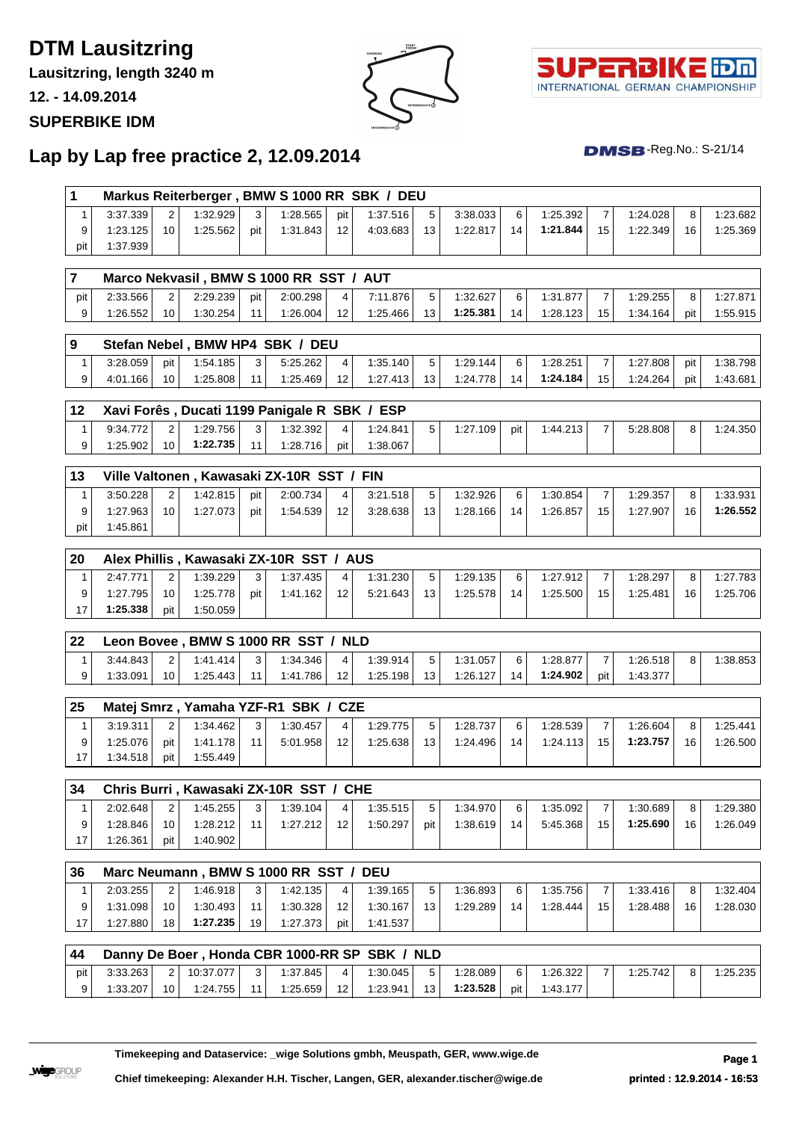# **DTM Lausitzring**

**Lausitzring, length 3240 m**

**12. - 14.09.2014**

#### **SUPERBIKE IDM**





 $DMSB$ -Reg.No.: S-21/14

### **Lap by Lap free practice 2, 12.09.2014**

| 1              |          |                 |           |     | Markus Reiterberger, BMW S 1000 RR SBK / DEU  |                |          |     |          |     |          |                |          |     |          |
|----------------|----------|-----------------|-----------|-----|-----------------------------------------------|----------------|----------|-----|----------|-----|----------|----------------|----------|-----|----------|
| 1              | 3:37.339 | 2               | 1:32.929  | 3   | 1:28.565                                      | pit            | 1:37.516 | 5   | 3:38.033 | 6   | 1:25.392 | 7              | 1:24.028 | 8   | 1:23.682 |
| 9              | 1:23.125 | 10              | 1:25.562  | pit | 1:31.843                                      | 12             | 4:03.683 | 13  | 1:22.817 | 14  | 1:21.844 | 15             | 1:22.349 | 16  | 1:25.369 |
| pit            | 1:37.939 |                 |           |     |                                               |                |          |     |          |     |          |                |          |     |          |
| $\overline{7}$ |          |                 |           |     | Marco Nekvasil, BMW S 1000 RR SST / AUT       |                |          |     |          |     |          |                |          |     |          |
| pit            | 2:33.566 | $\overline{2}$  | 2:29.239  | pit | 2:00.298                                      | 4              | 7:11.876 | 5   | 1:32.627 | 6   | 1:31.877 | 7              | 1:29.255 | 8   | 1:27.871 |
| 9              | 1:26.552 | 10 <sup>1</sup> | 1:30.254  | 11  | 1:26.004                                      | 12             | 1:25.466 | 13  | 1:25.381 | 14  | 1:28.123 | 15             | 1:34.164 | pit | 1:55.915 |
| 9              |          |                 |           |     | Stefan Nebel, BMW HP4 SBK / DEU               |                |          |     |          |     |          |                |          |     |          |
| $\mathbf{1}$   | 3:28.059 | pit             | 1:54.185  | 3   | 5:25.262                                      | $\overline{4}$ | 1:35.140 | 5   | 1:29.144 | 6   | 1:28.251 | $\overline{7}$ | 1:27.808 | pit | 1:38.798 |
| 9              | 4:01.166 | 10 <sup>°</sup> | 1:25.808  | 11  | 1:25.469                                      | 12             | 1:27.413 | 13  | 1:24.778 | 14  | 1:24.184 | 15             | 1:24.264 | pit | 1:43.681 |
| 12             |          |                 |           |     | Xavi Forês, Ducati 1199 Panigale R SBK / ESP  |                |          |     |          |     |          |                |          |     |          |
| 1              | 9:34.772 | $\overline{2}$  | 1:29.756  | 3   | 1:32.392                                      | 4              | 1:24.841 | 5   | 1:27.109 | pit | 1:44.213 | 7              | 5:28.808 | 8   | 1:24.350 |
| 9              | 1:25.902 | 10 <sup>1</sup> | 1:22.735  | 11  | 1:28.716                                      | pit            | 1:38.067 |     |          |     |          |                |          |     |          |
| 13             |          |                 |           |     | Ville Valtonen, Kawasaki ZX-10R SST / FIN     |                |          |     |          |     |          |                |          |     |          |
| $\mathbf{1}$   | 3:50.228 | 2               | 1:42.815  | pit | 2:00.734                                      | 4              | 3:21.518 | 5   | 1:32.926 | 6   | 1:30.854 | 7              | 1:29.357 | 8   | 1:33.931 |
| 9              | 1:27.963 | 10              | 1:27.073  | pit | 1:54.539                                      | 12             | 3:28.638 | 13  | 1:28.166 | 14  | 1:26.857 | 15             | 1:27.907 | 16  | 1:26.552 |
| pit            | 1:45.861 |                 |           |     |                                               |                |          |     |          |     |          |                |          |     |          |
|                |          |                 |           |     |                                               |                |          |     |          |     |          |                |          |     |          |
| 20             |          |                 |           |     | Alex Phillis, Kawasaki ZX-10R SST / AUS       |                |          |     |          |     |          |                |          |     |          |
| 1              | 2:47.771 | $\overline{2}$  | 1:39.229  | 3   | 1:37.435                                      | 4              | 1:31.230 | 5   | 1:29.135 | 6   | 1:27.912 | 7              | 1:28.297 | 8   | 1:27.783 |
| 9              | 1:27.795 | 10 <sup>1</sup> | 1:25.778  | pit | 1:41.162                                      | 12             | 5:21.643 | 13  | 1:25.578 | 14  | 1:25.500 | 15             | 1:25.481 | 16  | 1:25.706 |
| 17             | 1:25.338 | pit             | 1:50.059  |     |                                               |                |          |     |          |     |          |                |          |     |          |
| 22             |          |                 |           |     | Leon Bovee, BMW S 1000 RR SST / NLD           |                |          |     |          |     |          |                |          |     |          |
| 1              | 3:44.843 | $\overline{2}$  | 1:41.414  | 3   | 1:34.346                                      | $\overline{4}$ | 1:39.914 | 5   | 1:31.057 | 6   | 1:28.877 | $\overline{7}$ | 1:26.518 | 8   | 1:38.853 |
| 9              | 1:33.091 | 10 <sup>1</sup> | 1:25.443  | 11  | 1:41.786                                      | 12             | 1:25.198 | 13  | 1:26.127 | 14  | 1:24.902 | pit            | 1:43.377 |     |          |
| 25             |          |                 |           |     | Matej Smrz, Yamaha YZF-R1 SBK / CZE           |                |          |     |          |     |          |                |          |     |          |
| 1              | 3:19.311 | $\overline{2}$  | 1:34.462  | 3   | 1:30.457                                      | 4              | 1:29.775 | 5   | 1:28.737 | 6   | 1:28.539 | 7              | 1:26.604 | 8   | 1:25.441 |
| 9              | 1:25.076 | pit             | 1:41.178  | 11  | 5:01.958                                      | 12             | 1:25.638 | 13  | 1:24.496 | 14  | 1:24.113 | 15             | 1:23.757 | 16  | 1:26.500 |
| 17             | 1:34.518 | pit             | 1:55.449  |     |                                               |                |          |     |          |     |          |                |          |     |          |
| 34             |          |                 |           |     | Chris Burri, Kawasaki ZX-10R SST / CHE        |                |          |     |          |     |          |                |          |     |          |
| $\mathbf{1}$   | 2:02.648 | $\overline{2}$  | 1:45.255  | 3   | 1:39.104                                      | 4              | 1:35.515 | 5   | 1:34.970 | 6   | 1:35.092 | 7              | 1:30.689 | 8   | 1:29.380 |
| 9              | 1:28.846 | 10              | 1:28.212  | 11  | 1:27.212                                      | 12             | 1:50.297 | pit | 1:38.619 | 14  | 5:45.368 | 15             | 1:25.690 | 16  | 1:26.049 |
| 17             | 1:26.361 | pit             | 1:40.902  |     |                                               |                |          |     |          |     |          |                |          |     |          |
|                |          |                 |           |     |                                               |                |          |     |          |     |          |                |          |     |          |
| 36             |          |                 |           |     | Marc Neumann, BMW S 1000 RR SST / DEU         |                |          |     |          |     |          |                |          |     |          |
| $\mathbf{1}$   | 2:03.255 | $\overline{2}$  | 1:46.918  | 3   | 1:42.135                                      | 4              | 1:39.165 | 5   | 1:36.893 | 6   | 1:35.756 | 7              | 1:33.416 | 8   | 1:32.404 |
| 9              | 1:31.098 | 10 <sup>1</sup> | 1:30.493  | 11  | 1:30.328                                      | 12             | 1:30.167 | 13  | 1:29.289 | 14  | 1:28.444 | 15             | 1:28.488 | 16  | 1:28.030 |
| 17             | 1:27.880 | 18              | 1:27.235  | 19  | 1:27.373                                      | pit            | 1:41.537 |     |          |     |          |                |          |     |          |
| 44             |          |                 |           |     | Danny De Boer, Honda CBR 1000-RR SP SBK / NLD |                |          |     |          |     |          |                |          |     |          |
| pit            | 3:33.263 | 2               | 10:37.077 | 3   | 1:37.845                                      | 4              | 1:30.045 | 5   | 1:28.089 | 6   | 1:26.322 | 7              | 1:25.742 | 8   | 1:25.235 |
| 9              | 1:33.207 | 10              | 1:24.755  | 11  | 1:25.659                                      | 12             | 1:23.941 | 13  | 1:23.528 | pit | 1:43.177 |                |          |     |          |

**Wige**group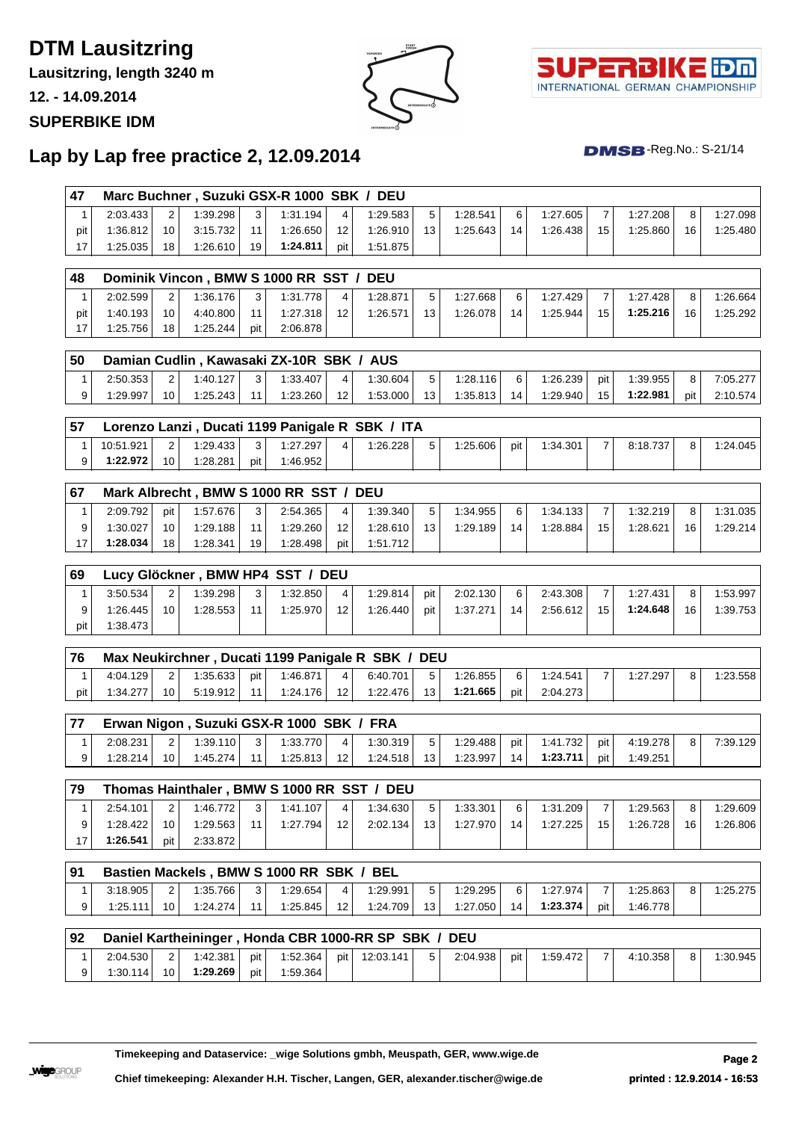# **DTM Lausitzring**

**Lausitzring, length 3240 m**

**12. - 14.09.2014**

#### **SUPERBIKE IDM**





 $DMSB$ -Reg.No.: S-21/14

### **Lap by Lap free practice 2, 12.09.2014**

| 47           |           |                 |          |     | Marc Buchner, Suzuki GSX-R 1000 SBK / DEU |                |                                                      |     |          |     |          |     |          |     |          |
|--------------|-----------|-----------------|----------|-----|-------------------------------------------|----------------|------------------------------------------------------|-----|----------|-----|----------|-----|----------|-----|----------|
| 1            | 2:03.433  | $\overline{2}$  | 1:39.298 | 3   | 1:31.194                                  | 4              | 1:29.583                                             | 5   | 1:28.541 | 6   | 1:27.605 | 7   | 1:27.208 | 8   | 1:27.098 |
| pit          | 1:36.812  | 10              | 3:15.732 | 11  | 1:26.650                                  | 12             | 1:26.910                                             | 13  | 1:25.643 | 14  | 1:26.438 | 15  | 1:25.860 | 16  | 1:25.480 |
| 17           | 1:25.035  | 18              | 1:26.610 | 19  | 1:24.811                                  | pit            | 1:51.875                                             |     |          |     |          |     |          |     |          |
|              |           |                 |          |     |                                           |                |                                                      |     |          |     |          |     |          |     |          |
| 48           |           |                 |          |     | Dominik Vincon, BMW S 1000 RR SST /       |                | <b>DEU</b>                                           |     |          |     |          |     |          |     |          |
| 1            | 2:02.599  | 2               | 1:36.176 | 3   | 1:31.778                                  | 4              | 1:28.871                                             | 5   | 1:27.668 | 6   | 1:27.429 | 7   | 1:27.428 | 8   | 1:26.664 |
| pit          | 1:40.193  | 10              | 4:40.800 | 11  | 1:27.318                                  | 12             | 1:26.571                                             | 13  | 1:26.078 | 14  | 1:25.944 | 15  | 1:25.216 | 16  | 1:25.292 |
| 17           | 1:25.756  | 18              | 1:25.244 | pit | 2:06.878                                  |                |                                                      |     |          |     |          |     |          |     |          |
|              |           |                 |          |     |                                           |                |                                                      |     |          |     |          |     |          |     |          |
| 50           |           |                 |          |     | Damian Cudlin, Kawasaki ZX-10R SBK / AUS  |                |                                                      |     |          |     |          |     |          |     |          |
| 1            | 2:50.353  | 2               | 1:40.127 | 3   | 1:33.407                                  | $\overline{4}$ | 1:30.604                                             | 5   | 1:28.116 | 6   | 1:26.239 | pit | 1:39.955 | 8   | 7:05.277 |
| 9            | 1:29.997  | 10 <sup>1</sup> | 1:25.243 | 11  | 1:23.260                                  | 12             | 1:53.000                                             | 13  | 1:35.813 | 14  | 1:29.940 | 15  | 1:22.981 | pit | 2:10.574 |
|              |           |                 |          |     |                                           |                |                                                      |     |          |     |          |     |          |     |          |
| 57           |           |                 |          |     |                                           |                | Lorenzo Lanzi, Ducati 1199 Panigale R SBK / ITA      |     |          |     |          |     |          |     |          |
| 1            | 10:51.921 | $\overline{2}$  | 1:29.433 | 3   | 1:27.297                                  | $\overline{4}$ | 1:26.228                                             | 5   | 1:25.606 | pit | 1:34.301 | 7   | 8:18.737 | 8   | 1:24.045 |
| 9            | 1:22.972  | 10              | 1:28.281 | pit | 1:46.952                                  |                |                                                      |     |          |     |          |     |          |     |          |
|              |           |                 |          |     |                                           |                |                                                      |     |          |     |          |     |          |     |          |
| 67           |           |                 |          |     | Mark Albrecht, BMW S 1000 RR SST / DEU    |                |                                                      |     |          |     |          |     |          |     |          |
| 1            | 2:09.792  | pit             | 1:57.676 | 3   | 2:54.365                                  | 4              | 1:39.340                                             | 5   | 1:34.955 | 6   | 1:34.133 | 7   | 1:32.219 | 8   | 1:31.035 |
| 9            | 1:30.027  | 10              | 1:29.188 | 11  | 1:29.260                                  | 12             | 1:28.610                                             | 13  | 1:29.189 | 14  | 1:28.884 | 15  | 1:28.621 | 16  | 1:29.214 |
| 17           | 1:28.034  | 18              | 1:28.341 | 19  | 1:28.498                                  | pit            | 1:51.712                                             |     |          |     |          |     |          |     |          |
|              |           |                 |          |     |                                           |                |                                                      |     |          |     |          |     |          |     |          |
| 69           |           |                 |          |     | Lucy Glöckner, BMW HP4 SST / DEU          |                |                                                      |     |          |     |          |     |          |     |          |
| 1            | 3:50.534  | 2               | 1:39.298 | 3   | 1:32.850                                  | 4              | 1:29.814                                             | pit | 2:02.130 | 6   | 2:43.308 | 7   | 1:27.431 | 8   | 1:53.997 |
| 9            | 1:26.445  | 10 <sup>°</sup> | 1:28.553 | 11  | 1:25.970                                  | 12             | 1:26.440                                             | pit | 1:37.271 | 14  | 2:56.612 | 15  | 1:24.648 | 16  | 1:39.753 |
| pit          | 1:38.473  |                 |          |     |                                           |                |                                                      |     |          |     |          |     |          |     |          |
| 76           |           |                 |          |     |                                           |                | Max Neukirchner, Ducati 1199 Panigale R SBK / DEU    |     |          |     |          |     |          |     |          |
| 1            | 4:04.129  | $\overline{2}$  | 1:35.633 | pit | 1:46.871                                  | 4              | 6:40.701                                             | 5   | 1:26.855 | 6   | 1:24.541 | 7   | 1:27.297 | 8   | 1:23.558 |
| pit          | 1:34.277  | 10              | 5:19.912 | 11  | 1:24.176                                  | 12             | 1:22.476                                             | 13  | 1:21.665 | pit | 2:04.273 |     |          |     |          |
|              |           |                 |          |     |                                           |                |                                                      |     |          |     |          |     |          |     |          |
| 77           |           |                 |          |     | Erwan Nigon, Suzuki GSX-R 1000 SBK / FRA  |                |                                                      |     |          |     |          |     |          |     |          |
| 1            | 2:08.231  | $\overline{2}$  | 1:39.110 | 3   | 1:33.770                                  | $\overline{4}$ | 1:30.319                                             | 5   | 1:29.488 | pit | 1:41.732 | pit | 4:19.278 | 8   | 7:39.129 |
| 9            | 1:28.214  | 10              | 1:45.274 | 11  | 1:25.813                                  | 12             | 1:24.518                                             | 13  | 1:23.997 | 14  | 1:23.711 | pit | 1:49.251 |     |          |
|              |           |                 |          |     |                                           |                |                                                      |     |          |     |          |     |          |     |          |
| 79           |           |                 |          |     |                                           |                | Thomas Hainthaler, BMW S 1000 RR SST / DEU           |     |          |     |          |     |          |     |          |
| $\mathbf{1}$ | 2:54.101  | $\overline{2}$  | 1:46.772 | 3   | 1:41.107                                  | 4              | 1:34.630                                             | 5   | 1:33.301 | 6   | 1:31.209 | 7   | 1:29.563 | 8   | 1:29.609 |
| 9            | 1:28.422  | 10              | 1:29.563 | 11  | 1:27.794                                  | 12             | 2:02.134                                             | 13  | 1:27.970 | 14  | 1:27.225 | 15  | 1:26.728 | 16  | 1:26.806 |
| 17           | 1:26.541  | pit             | 2:33.872 |     |                                           |                |                                                      |     |          |     |          |     |          |     |          |
|              |           |                 |          |     |                                           |                |                                                      |     |          |     |          |     |          |     |          |
| 91           |           |                 |          |     | Bastien Mackels, BMW S 1000 RR SBK / BEL  |                |                                                      |     |          |     |          |     |          |     |          |
| 1            | 3:18.905  | $\overline{c}$  | 1:35.766 | 3   | 1:29.654                                  | 4              | 1:29.991                                             | 5   | 1:29.295 | 6   | 1:27.974 | 7   | 1:25.863 | 8   | 1:25.275 |
| 9            | 1:25.111  | 10 <sup>1</sup> | 1:24.274 | 11  | 1:25.845                                  | 12             | 1:24.709                                             | 13  | 1:27.050 | 14  | 1:23.374 | pit | 1:46.778 |     |          |
|              |           |                 |          |     |                                           |                |                                                      |     |          |     |          |     |          |     |          |
| 92           |           |                 |          |     |                                           |                | Daniel Kartheininger, Honda CBR 1000-RR SP SBK / DEU |     |          |     |          |     |          |     |          |
| 1            | 2:04.530  | 2 <sup>2</sup>  | 1:42.381 | pit | 1:52.364                                  | pit            | 12:03.141                                            | 5   | 2:04.938 | pit | 1:59.472 | 7   | 4:10.358 | 8   | 1:30.945 |
| 9            | 1:30.114  | 10              | 1:29.269 | pit | 1:59.364                                  |                |                                                      |     |          |     |          |     |          |     |          |